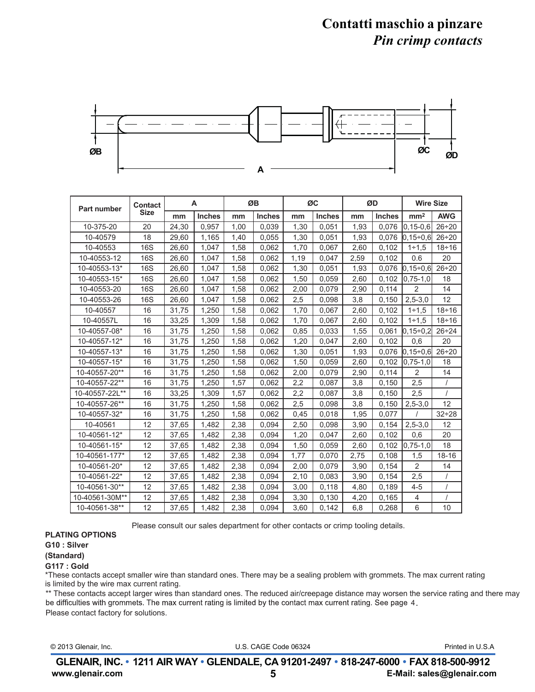## **Contatti maschio a pinzare** *Pin crimp contacts*



| <b>Part number</b> | <b>Contact</b><br>Size | A     |               | ØB   |               | ØC   |               | ØD   |               | <b>Wire Size</b>    |              |
|--------------------|------------------------|-------|---------------|------|---------------|------|---------------|------|---------------|---------------------|--------------|
|                    |                        | mm    | <b>Inches</b> | mm   | <b>Inches</b> | mm   | <b>Inches</b> | mm   | <b>Inches</b> | mm <sup>2</sup>     | <b>AWG</b>   |
| 10-375-20          | 20                     | 24.30 | 0.957         | 1.00 | 0.039         | 1.30 | 0.051         | 1.93 | 0.076         | $0, 15 - 0, 6$      | $26 \div 20$ |
| 10-40579           | 18                     | 29,60 | 1,165         | 1,40 | 0,055         | 1,30 | 0.051         | 1,93 | 0.076         | $[0.15 \div 0.6]$   | $26 \div 20$ |
| 10-40553           | <b>16S</b>             | 26,60 | 1,047         | 1,58 | 0.062         | 1,70 | 0,067         | 2,60 | 0,102         | $1 + 1.5$           | $18 \div 16$ |
| 10-40553-12        | 16S                    | 26,60 | 1,047         | 1,58 | 0,062         | 1,19 | 0,047         | 2,59 | 0,102         | 0.6                 | 20           |
| 10-40553-13*       | 16S                    | 26.60 | 1,047         | 1,58 | 0.062         | 1,30 | 0,051         | 1,93 | 0.076         | $[0.15 \div 0.6]$   | $26 \div 20$ |
| 10-40553-15*       | 16S                    | 26,60 | 1,047         | 1,58 | 0,062         | 1,50 | 0,059         | 2,60 | 0.102         | $0.75 - 1.0$        | 18           |
| 10-40553-20        | 16S                    | 26,60 | 1,047         | 1,58 | 0,062         | 2,00 | 0,079         | 2,90 | 0.114         | 2                   | 14           |
| 10-40553-26        | 16S                    | 26.60 | 1.047         | 1.58 | 0.062         | 2,5  | 0.098         | 3,8  | 0,150         | $2,5 - 3,0$         | 12           |
| 10-40557           | 16                     | 31.75 | 1,250         | 1.58 | 0.062         | 1.70 | 0.067         | 2.60 | 0.102         | $1 + 1.5$           | $18 \div 16$ |
| 10-40557L          | 16                     | 33,25 | 1,309         | 1,58 | 0.062         | 1,70 | 0,067         | 2,60 | 0,102         | $1 + 1.5$           | $18 \div 16$ |
| 10-40557-08*       | 16                     | 31,75 | 1,250         | 1,58 | 0,062         | 0,85 | 0,033         | 1,55 | 0,061         | $ 0, 15 \div 0.2$   | $26 + 24$    |
| 10-40557-12*       | 16                     | 31,75 | 1,250         | 1,58 | 0.062         | 1,20 | 0,047         | 2,60 | 0,102         | 0,6                 | 20           |
| 10-40557-13*       | 16                     | 31,75 | 1,250         | 1,58 | 0,062         | 1,30 | 0,051         | 1,93 | 0,076         | $[0, 15 \div 0, 6]$ | $26 \div 20$ |
| 10-40557-15*       | 16                     | 31,75 | 1,250         | 1,58 | 0.062         | 1,50 | 0,059         | 2,60 | 0.102         | $0.75 - 1.0$        | 18           |
| 10-40557-20**      | 16                     | 31,75 | 1,250         | 1,58 | 0,062         | 2,00 | 0,079         | 2,90 | 0,114         | 2                   | 14           |
| 10-40557-22**      | 16                     | 31,75 | 1,250         | 1,57 | 0.062         | 2,2  | 0,087         | 3,8  | 0,150         | 2,5                 |              |
| 10-40557-22L**     | 16                     | 33,25 | 1,309         | 1,57 | 0,062         | 2,2  | 0,087         | 3,8  | 0,150         | 2,5                 |              |
| 10-40557-26**      | 16                     | 31.75 | 1.250         | 1.58 | 0.062         | 2.5  | 0.098         | 3.8  | 0.150         | $2,5 - 3,0$         | 12           |
| 10-40557-32*       | 16                     | 31,75 | 1,250         | 1,58 | 0.062         | 0,45 | 0,018         | 1,95 | 0,077         |                     | $32 \div 28$ |
| 10-40561           | 12                     | 37,65 | 1,482         | 2,38 | 0,094         | 2,50 | 0,098         | 3,90 | 0,154         | $2,5 - 3,0$         | 12           |
| 10-40561-12*       | 12                     | 37,65 | 1,482         | 2,38 | 0,094         | 1,20 | 0,047         | 2,60 | 0,102         | 0,6                 | 20           |
| 10-40561-15*       | 12                     | 37,65 | 1.482         | 2,38 | 0,094         | 1,50 | 0.059         | 2,60 | 0.102         | $ 0.75 - 1.0 $      | 18           |
| 10-40561-177*      | 12                     | 37,65 | 1,482         | 2,38 | 0.094         | 1,77 | 0,070         | 2,75 | 0.108         | 1,5                 | $18 - 16$    |
| 10-40561-20*       | 12                     | 37,65 | 1,482         | 2,38 | 0,094         | 2,00 | 0,079         | 3,90 | 0,154         | 2                   | 14           |
| 10-40561-22*       | 12                     | 37,65 | 1,482         | 2,38 | 0,094         | 2,10 | 0,083         | 3,90 | 0,154         | 2,5                 | $\prime$     |
| 10-40561-30**      | 12                     | 37.65 | 1.482         | 2.38 | 0.094         | 3.00 | 0.118         | 4,80 | 0.189         | 4-5                 | $\prime$     |
| 10-40561-30M**     | 12                     | 37,65 | 1,482         | 2,38 | 0,094         | 3,30 | 0.130         | 4,20 | 0,165         | $\overline{4}$      | $\sqrt{ }$   |
| 10-40561-38**      | 12                     | 37,65 | 1,482         | 2,38 | 0,094         | 3,60 | 0,142         | 6,8  | 0,268         | 6                   | 10           |

Please consult our sales department for other contacts or crimp tooling details.

### **PLATING OPTIONS**

#### **G10 : Silver**

#### **(Standard)**

#### **G117 : Gold**

\*These contacts accept smaller wire than standard ones. There may be a sealing problem with grommets. The max current rating is limited by the wire max current rating.

\*\* These contacts accept larger wires than standard ones. The reduced air/creepage distance may worsen the service rating and there may be difficulties with grommets. The max current rating is limited by the contact max current rating. See page 4.

Please contact factory for solutions.

| U.S. CAGE Code 06324<br>© 2013 Glenair, Inc. |  | Printed in U.S.A |
|----------------------------------------------|--|------------------|
|----------------------------------------------|--|------------------|